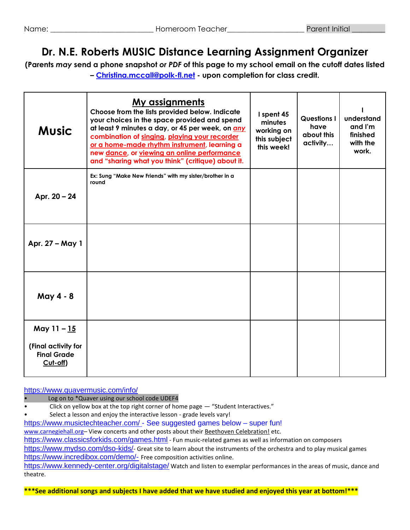# **Dr. N.E. Roberts MUSIC Distance Learning Assignment Organizer**

**(Parents** *may* **send a phone snapshot** *or PDF* **of this page to my school email on the cutoff dates listed – [Christina.mccall@polk-fl.net](mailto:Christina.mccall@polk-fl.net) - upon completion for class credit.**

| <b>Music</b>                                                         | <u>My assignments</u><br>Choose from the lists provided below. Indicate<br>your choices in the space provided and spend<br>at least 9 minutes a day, or 45 per week, on any<br>combination of singing, playing your recorder<br>or a home-made rhythm instrument, learning a<br>new dance, or viewing an online performance<br>and "sharing what you think" (critique) about it. | I spent 45<br>minutes<br>working on<br>this subject<br>this week! | <b>Questions I</b><br>have<br>about this<br>activity | understand<br>and I'm<br>finished<br>with the<br>work. |
|----------------------------------------------------------------------|----------------------------------------------------------------------------------------------------------------------------------------------------------------------------------------------------------------------------------------------------------------------------------------------------------------------------------------------------------------------------------|-------------------------------------------------------------------|------------------------------------------------------|--------------------------------------------------------|
| Apr. 20 - 24                                                         | Ex: Sung "Make New Friends" with my sister/brother in a<br>round                                                                                                                                                                                                                                                                                                                 |                                                                   |                                                      |                                                        |
| Apr. 27 - May 1                                                      |                                                                                                                                                                                                                                                                                                                                                                                  |                                                                   |                                                      |                                                        |
| May 4 - 8                                                            |                                                                                                                                                                                                                                                                                                                                                                                  |                                                                   |                                                      |                                                        |
| May 11 - 15<br>(Final activity for<br><b>Final Grade</b><br>Cut-off) |                                                                                                                                                                                                                                                                                                                                                                                  |                                                                   |                                                      |                                                        |

<https://www.quavermusic.com/info/>

Log on to \*Quaver using our school code UDEF4

- Click on yellow box at the top right corner of home page "Student Interactives."
- Select a lesson and enjoy the interactive lesson grade levels vary!

<https://www.musictechteacher.com/> - See suggested games below - super fun! [www.carnegiehall.org](http://www.carnegiehall.org/)- View concerts and other posts about their Beethoven Celebration! etc. <https://www.classicsforkids.com/games.html> - Fun music-related games as well as information on composers <https://www.mydso.com/dso-kids/>- Great site to learn about the instruments of the orchestra and to play musical games <https://www.incredibox.com/demo/-> Free composition activities online.

<https://www.kennedy-center.org/digitalstage/> Watch and listen to exemplar performances in the areas of music, dance and theatre.

**\*\*\*See additional songs and subjects I have added that we have studied and enjoyed this year at bottom!\*\*\***